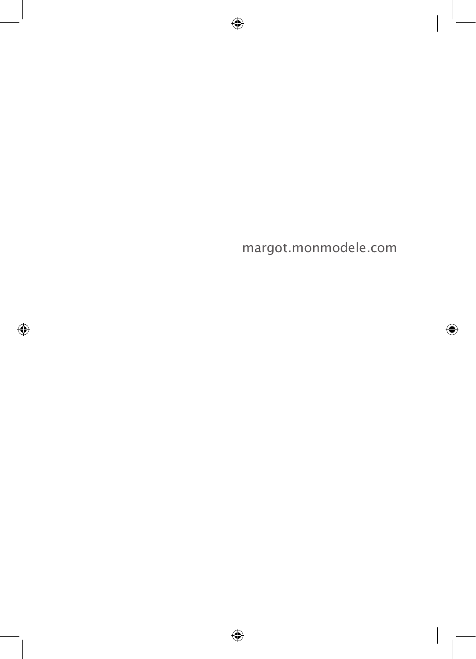margot.monmodele.com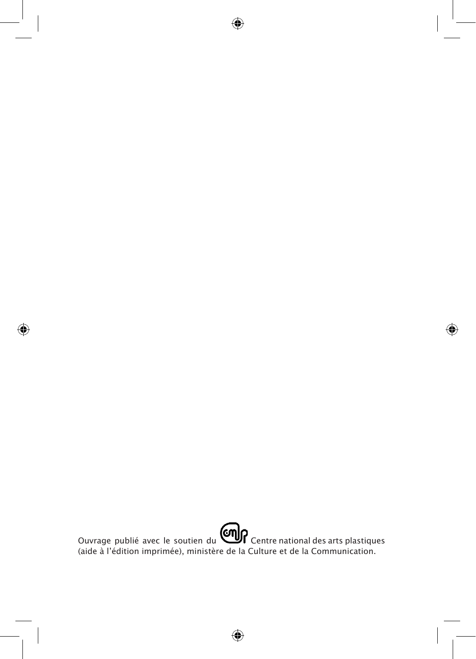Ouvrage publié avec le soutien du **Condr** Centre national des arts plastiques (aide à l'édition imprimée), ministère de la Culture et de la Communication.

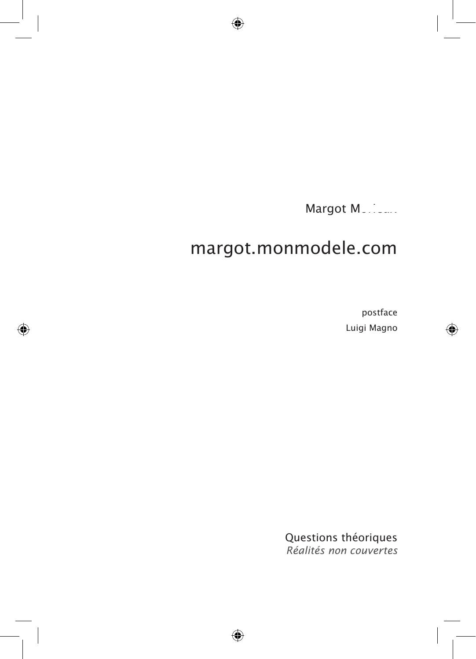Margot Mussical

# margot.monmodele.com

postface Luigi Magno

Questions théoriques *Réalités non couvertes*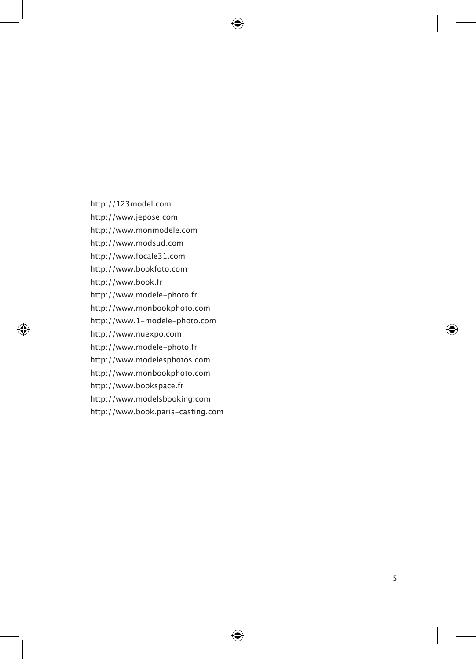http://123model.com

http://www.jepose.com

http://www.monmodele.com

http://www.modsud.com

http://www.focale31.com

http://www.bookfoto.com

http://www.book.fr

http://www.modele-photo.fr

http://www.monbookphoto.com

http://www.1-modele-photo.com

http://www.nuexpo.com

http://www.modele-photo.fr

http://www.modelesphotos.com

http://www.monbookphoto.com

http://www.bookspace.fr

http://www.modelsbooking.com

http://www.book.paris-casting.com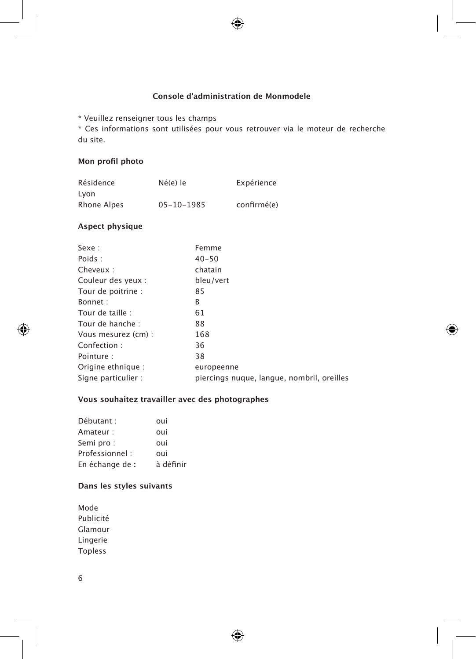## **Console d'administration de Monmodele**

\* Veuillez renseigner tous les champs

\* Ces informations sont utilisées pour vous retrouver via le moteur de recherche du site.

## **Mon profil photo**

| Résidence   | Né(e) le         | Expérience  |
|-------------|------------------|-------------|
| Lvon        |                  |             |
| Rhone Alpes | $05 - 10 - 1985$ | confirmé(e) |

## **Aspect physique**

| Sexe:               | Femme                                      |
|---------------------|--------------------------------------------|
| Poids:              | $40 - 50$                                  |
| Cheveux:            | chatain                                    |
| Couleur des yeux :  | bleu/vert                                  |
| Tour de poitrine :  | 85                                         |
| Bonnet:             | B                                          |
| Tour de taille :    | 61                                         |
| Tour de hanche :    | 88                                         |
| Vous mesurez (cm) : | 168                                        |
| Confection:         | 36                                         |
| Pointure:           | 38                                         |
| Origine ethnique :  | europeenne                                 |
| Signe particulier : | piercings nugue, langue, nombril, oreilles |

# **Vous souhaitez travailler avec des photographes**

| Débutant :      | oui       |
|-----------------|-----------|
| Amateur :       | oui       |
| Semi pro:       | oui       |
| Professionnel:  | oui       |
| En échange de : | à définir |

# **Dans les styles suivants**

Mode Publicité Glamour Lingerie Topless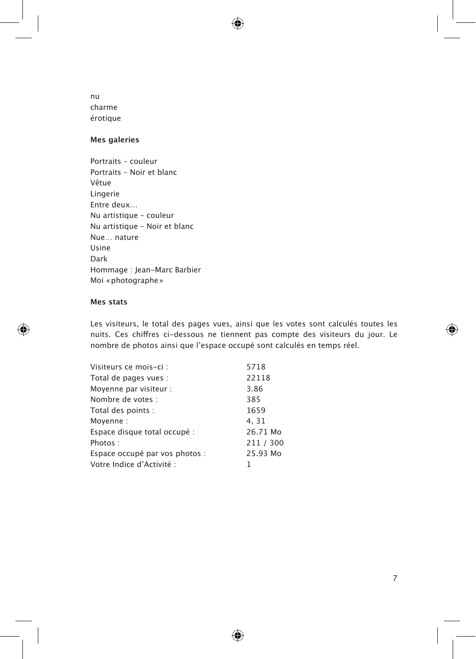nu charme érotique

# **Mes galeries**

Portraits – couleur Portraits – Noir et blanc Vêtue Lingerie Entre deux… Nu artistique – couleur Nu artistique – Noir et blanc Nue… nature Usine Dark Hommage : Jean-Marc Barbier Moi «photographe»

#### **Mes stats**

Les visiteurs, le total des pages vues, ainsi que les votes sont calculés toutes les nuits. Ces chiffres ci-dessous ne tiennent pas compte des visiteurs du jour. Le nombre de photos ainsi que l'espace occupé sont calculés en temps réel.

| 5718      |
|-----------|
| 22118     |
| 3.86      |
| 385       |
| 1659      |
| 4.31      |
| 26.71 Mo  |
| 211 / 300 |
| 25.93 Mo  |
|           |
|           |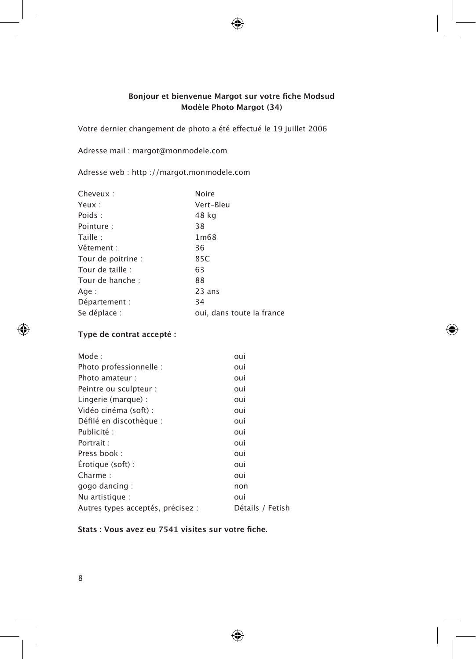## **Bonjour et bienvenue Margot sur votre fiche Modsud Modèle Photo Margot (34)**

Votre dernier changement de photo a été effectué le 19 juillet 2006

Adresse mail : margot@monmodele.com

Adresse web : http ://margot.monmodele.com

| Cheveux:           | Noire                     |
|--------------------|---------------------------|
| Yeux:              | Vert-Bleu                 |
| Poids:             | 48 kg                     |
| Pointure:          | 38                        |
| Taille:            | 1m68                      |
| Vêtement :         | 36                        |
| Tour de poitrine : | 85C                       |
| Tour de taille :   | 63                        |
| Tour de hanche :   | 88                        |
| Age:               | $23$ ans                  |
| Département :      | 34                        |
| Se déplace :       | oui, dans toute la france |

## **Type de contrat accepté :**

| oui              |
|------------------|
| oui              |
| oui              |
| oui              |
| oui              |
| oui              |
| oui              |
| oui              |
| oui              |
| oui              |
| oui              |
| oui              |
| non              |
| oui              |
| Détails / Fetish |
|                  |

## **Stats : Vous avez eu 7541 visites sur votre fiche.**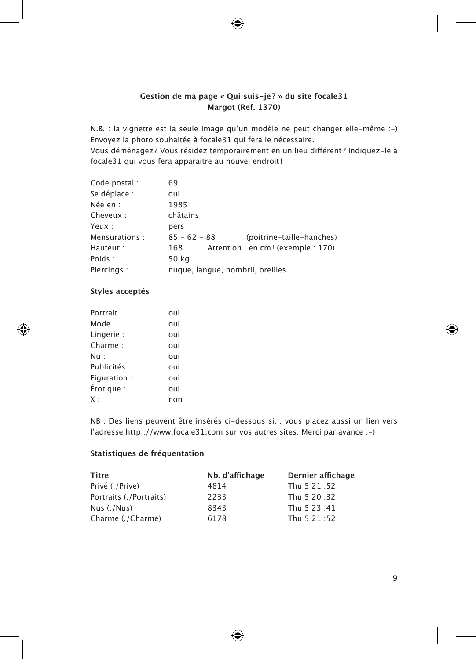## **Gestion de ma page « Qui suis-je? » du site focale31 Margot (Ref. 1370)**

N.B. : la vignette est la seule image qu'un modèle ne peut changer elle-même :-) Envoyez la photo souhaitée à focale31 qui fera le nécessaire.

Vous déménagez? Vous résidez temporairement en un lieu différent? Indiquez-le à focale31 qui vous fera apparaitre au nouvel endroit!

| Code postal : | 69                                          |
|---------------|---------------------------------------------|
| Se déplace :  | oui                                         |
| Née en :      | 1985                                        |
| Cheveux:      | châtains                                    |
| Yeux:         | pers                                        |
| Mensurations: | $85 - 62 - 88$<br>(poitrine-taille-hanches) |
| Hauteur:      | Attention: en cm! (exemple : 170)<br>168    |
| Poids:        | 50 kg                                       |
| Piercings:    | nuque, langue, nombril, oreilles            |

## **Styles acceptés**

| Portrait:    | oui |
|--------------|-----|
| Mode :       | oui |
| Lingerie:    | oui |
| Charme:      | oui |
| Nu :         | oui |
| Publicités : | oui |
| Figuration:  | oui |
| Érotique:    | oui |
| X:           | non |

NB : Des liens peuvent être insérés ci-dessous si… vous placez aussi un lien vers l'adresse http ://www.focale31.com sur vos autres sites. Merci par avance :-)

## **Statistiques de fréquentation**

| Titre                   | Nb. d'affichage | Dernier affichage |
|-------------------------|-----------------|-------------------|
| Privé (./Prive)         | 4814            | Thu 5 21:52       |
| Portraits (./Portraits) | 2233            | Thu 5 20:32       |
| Nus $(./Nus)$           | 8343            | Thu 5 23:41       |
| Charme (./Charme)       | 6178            | Thu 5 21:52       |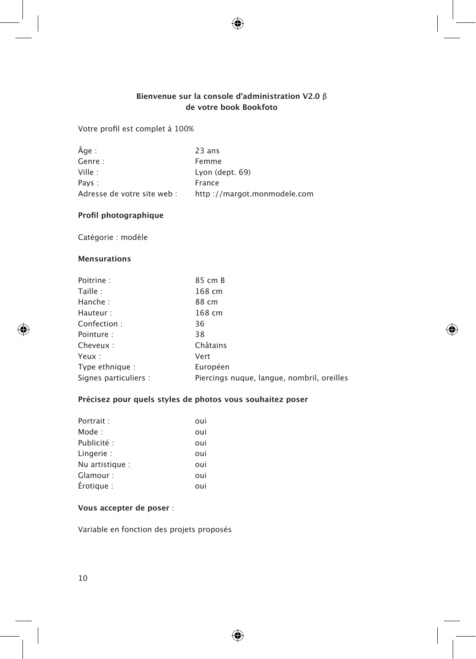## **Bienvenue sur la console d'administration V2.0** β **de votre book Bookfoto**

Votre profil est complet à 100%

| Âge :                       | 23 ans                      |
|-----------------------------|-----------------------------|
| Genre:                      | Femme                       |
| Ville :                     | Lyon (dept. 69)             |
| Pays:                       | France                      |
| Adresse de votre site web : | http://margot.monmodele.com |

## **Profil photographique**

Catégorie : modèle

## **Mensurations**

| Poitrine:             | 85 cm B                                    |
|-----------------------|--------------------------------------------|
| Taille:               | 168 cm                                     |
| Hanche:               | 88 cm                                      |
| Hauteur:              | 168 cm                                     |
| Confection:           | 36                                         |
| Pointure:             | 38                                         |
| Cheveux:              | Châtains                                   |
| Yeux :                | Vert                                       |
| Type ethnique:        | Européen                                   |
| Signes particuliers : | Piercings nugue, langue, nombril, oreilles |

# **Précisez pour quels styles de photos vous souhaitez poser**

| Portrait:       | oui |
|-----------------|-----|
| Mode:           | oui |
| Publicité:      | oui |
| Lingerie:       | oui |
| Nu artistique : | oui |
| Glamour :       | oui |
| Érotique:       | oui |

## **Vous accepter de poser** :

Variable en fonction des projets proposés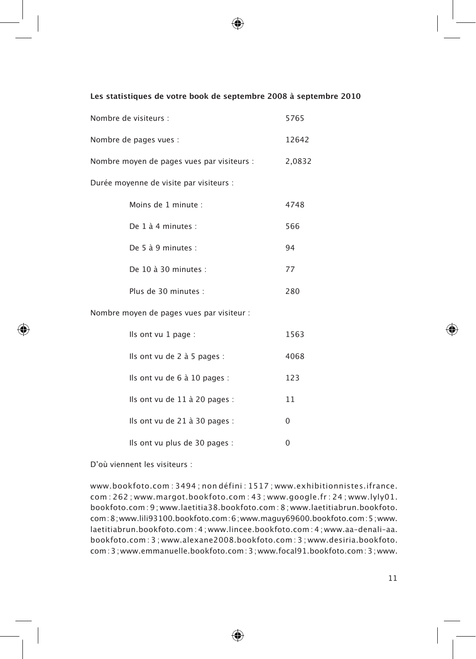#### **Les statistiques de votre book de septembre 2008 à septembre 2010**

| Nombre de visiteurs :                      | 5765   |
|--------------------------------------------|--------|
| Nombre de pages vues :                     | 12642  |
| Nombre moyen de pages vues par visiteurs : | 2.0832 |
| Durée moyenne de visite par visiteurs :    |        |

| Moins de 1 minute :          | 4748 |
|------------------------------|------|
| De $1$ $\lambda$ 4 minutes : | 566  |
| De 5 à 9 minutes :           | 94   |
| De $10$ à $30$ minutes :     | 77   |
| Plus de 30 minutes :         | 280  |

Nombre moyen de pages vues par visiteur :

| Ils ont vu $1$ page :             | 1563 |
|-----------------------------------|------|
| Ils ont vu de $2$ à 5 pages :     | 4068 |
| Ils ont vu de 6 à 10 pages :      | 123  |
| Ils ont vu de 11 à 20 pages :     | 11   |
| Ils ont vu de $21$ à $30$ pages : | 0    |
| Ils ont vu plus de 30 pages :     |      |

D'où viennent les visiteurs :

www.bookfoto.com : 3494 ; non défini : 1517 ; www.exhibitionnistes.ifrance. com : 262 ; www.margot.bookfoto.com : 43 ; www.google.fr : 24 ; www.lyly01. bookfoto.com : 9 ; www.laetitia38.bookfoto.com : 8 ; www.laetitiabrun.bookfoto. com:8;www.lili93100.bookfoto.com:6;www.maguy69600.bookfoto.com:5;www. laetitiabrun.bookfoto.com : 4 ; www.lincee.bookfoto.com : 4 ; www.aa–denali–aa. bookfoto.com : 3 ; www.alexane2008.bookfoto.com : 3 ; www.desiria.bookfoto. com:3;www.emmanuelle.bookfoto.com:3;www.focal91.bookfoto.com:3;www.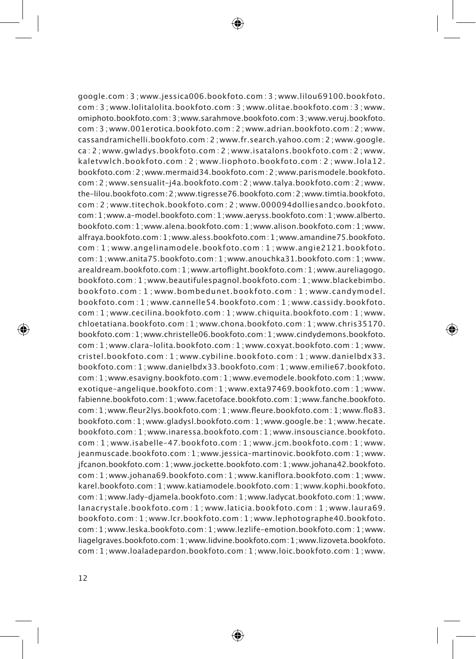google.com : 3 ; www.jessica006.bookfoto.com : 3 ; www.lilou69100.bookfoto. com : 3 ; www.lolitalolita.bookfoto.com : 3 ; www.olitae.bookfoto.com : 3 ; www. omiphoto.bookfoto.com:3;www.sarahmove.bookfoto.com:3;www.veruj.bookfoto. com : 3 ; www.001erotica.bookfoto.com : 2 ; www.adrian.bookfoto.com : 2 ; www. cassandramichelli.bookfoto.com : 2 ; www.fr.search.yahoo.com : 2 ; www.google. ca : 2 ; www.gwladys.bookfoto.com : 2 ; www.isatalons.bookfoto.com : 2 ; www. kaletvwlch.bookfoto.com : 2 ; www.liophoto.bookfoto.com : 2 ; www.lola12. bookfoto.com:2;www.mermaid34.bookfoto.com:2;www.parismodele.bookfoto. com : 2 ; www.sensualit–j4a.bookfoto.com : 2 ; www.talya.bookfoto.com : 2 ; www. the–lilou.bookfoto.com:2;www.tigresse76.bookfoto.com:2;www.timtia.bookfoto. com : 2 ; www.titechok.bookfoto.com : 2 ; www.000094dolliesandco.bookfoto. com:1;www.a–model.bookfoto.com:1;www.aeryss.bookfoto.com:1;www.alberto. bookfoto.com:1;www.alena.bookfoto.com:1;www.alison.bookfoto.com:1;www. alfraya.bookfoto.com:1;www.aless.bookfoto.com:1;www.amandine75.bookfoto. com : 1 ; www.angelinamodele.bookfoto.com : 1 ; www.angie2121.bookfoto. com:1;www.anita75.bookfoto.com:1;www.anouchka31.bookfoto.com:1;www. arealdream.bookfoto.com:1;www.artoflight.bookfoto.com:1;www.aureliagogo. bookfoto.com : 1 ; www.beautifulespagnol.bookfoto.com : 1 ; www.blackebimbo. bookfoto.com : 1 ; www.bombedunet.bookfoto.com : 1 ; www.candymodel. bookfoto.com : 1 ; www.cannelle54.bookfoto.com : 1 ; www.cassidy.bookfoto. com : 1 ; www.cecilina.bookfoto.com : 1 ; www.chiquita.bookfoto.com : 1 ; www. chloetatiana.bookfoto.com : 1 ; www.chona.bookfoto.com : 1 ; www.chris35170. bookfoto.com:1;www.christelle06.bookfoto.com:1;www.cindydemons.bookfoto. com : 1 ; www.clara–lolita.bookfoto.com : 1 ; www.coxyat.bookfoto.com : 1 ; www. cristel.bookfoto.com : 1 ; www.cybiline.bookfoto.com : 1 ; www.danielbdx33. bookfoto.com : 1 ; www.danielbdx33.bookfoto.com : 1 ; www.emilie67.bookfoto. com:1;www.esavigny.bookfoto.com:1;www.evemodele.bookfoto.com:1;www. exotique–angelique.bookfoto.com : 1 ; www.exta97469.bookfoto.com : 1 ; www. fabienne.bookfoto.com:1;www.facetoface.bookfoto.com:1;www.fanche.bookfoto. com:1;www.fleur2lys.bookfoto.com:1;www.fleure.bookfoto.com:1;www.flo83. bookfoto.com:1;www.gladysl.bookfoto.com:1;www.google.be :1;www.hecate. bookfoto.com : 1 ; www.inaressa.bookfoto.com : 1 ; www.insousciance.bookfoto. com : 1 ; www.isabelle–47.bookfoto.com : 1 ; www.jcm.bookfoto.com : 1 ; www. jeanmuscade.bookfoto.com : 1 ; www.jessica–martinovic.bookfoto.com : 1 ; www. jfcanon.bookfoto.com:1;www.jockette.bookfoto.com:1;www.johana42.bookfoto. com : 1 ; www.johana69.bookfoto.com : 1 ; www.kaniflora.bookfoto.com : 1 ; www. karel.bookfoto.com:1;www.katiamodele.bookfoto.com:1;www.kophi.bookfoto. com:1;www.lady–djamela.bookfoto.com:1;www.ladycat.bookfoto.com:1;www. lanacrystale.bookfoto.com : 1 ; www.laticia.bookfoto.com : 1 ; www.laura69. bookfoto.com : 1 ; www.lcr.bookfoto.com : 1 ; www.lephotographe40.bookfoto. com:1;www.leska.bookfoto.com:1;www.lezlife–emotion.bookfoto.com:1;www. liagelgraves.bookfoto.com:1;www.lidvine.bookfoto.com:1;www.lizoveta.bookfoto. com : 1 ; www.loaladepardon.bookfoto.com : 1 ; www.loic.bookfoto.com : 1 ; www.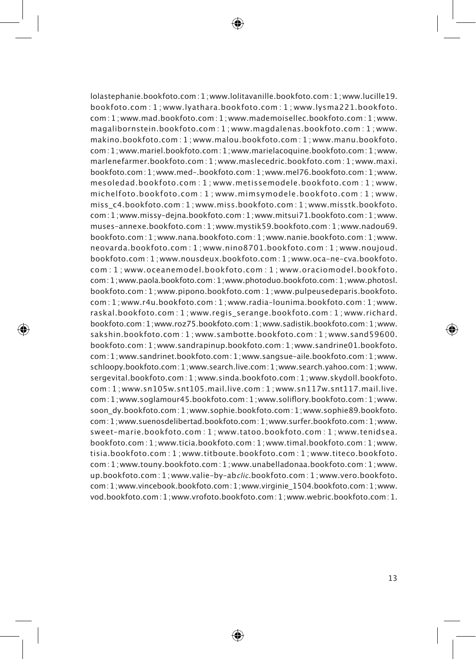lolastephanie.bookfoto.com:1;www.lolitavanille.bookfoto.com:1;www.lucille19. bookfoto.com : 1 ; www.lyathara.bookfoto.com : 1 ; www.lysma221.bookfoto. com:1;www.mad.bookfoto.com:1;www.mademoisellec.bookfoto.com:1;www. magalibornstein.bookfoto.com : 1 ; www.magdalenas.bookfoto.com : 1 ; www. makino.bookfoto.com : 1 ; www.malou.bookfoto.com : 1 ; www.manu.bookfoto. com:1;www.mariel.bookfoto.com:1;www.marielacoquine.bookfoto.com:1;www. marlenefarmer.bookfoto.com:1;www.maslecedric.bookfoto.com :1;www.maxi. bookfoto.com:1;www.med–.bookfoto.com:1;www.mel76.bookfoto.com:1;www. mesoledad.bookfoto.com : 1 ; www.metissemodele.bookfoto.com : 1 ; www. michelfoto.bookfoto.com : 1 ; www.mimsymodele.bookfoto.com : 1 ; www. miss\_c4.bookfoto.com : 1 ; www.miss.bookfoto.com : 1 ; www.misstk.bookfoto. com:1;www.missy–dejna.bookfoto.com:1;www.mitsui71.bookfoto.com:1;www. muses–annexe.bookfoto.com:1;www.mystik59.bookfoto.com:1;www.nadou69. bookfoto.com:1;www.nana.bookfoto.com:1;www.nanie.bookfoto.com:1;www. neovarda.bookfoto.com : 1 ; www.nino8701.bookfoto.com : 1 ; www.noujoud. bookfoto.com : 1 ; www.nousdeux.bookfoto.com : 1 ; www.oca–ne–cva.bookfoto. com : 1 ; www.oceanemodel.bookfoto.com : 1 ; www.oraciomodel.bookfoto. com:1;www.paola.bookfoto.com:1;www.photoduo.bookfoto.com:1;www.photosl. bookfoto.com:1;www.pipono.bookfoto.com:1;www.pulpeusedeparis.bookfoto. com : 1 ; www.r4u.bookfoto.com : 1 ; www.radia–lounima.bookfoto.com : 1 ; www. raskal.bookfoto.com : 1 ; www.regis\_serange.bookfoto.com : 1 ; www.richard. bookfoto.com:1;www.roz75.bookfoto.com:1;www.sadistik.bookfoto.com:1;www. sakshin.bookfoto.com : 1 ; www.sambotte.bookfoto.com : 1 ; www.sand59600. bookfoto.com:1;www.sandrapinup.bookfoto.com:1;www.sandrine01.bookfoto. com:1;www.sandrinet.bookfoto.com:1;www.sangsue–aile.bookfoto.com:1;www. schloopy.bookfoto.com:1;www.search.live.com:1;www.search.yahoo.com:1;www. sergevital.bookfoto.com:1;www.sinda.bookfoto.com:1;www.skydoll.bookfoto. com : 1 ; www.sn105w.snt105.mail.live.com : 1 ; www.sn117w.snt117.mail.live. com:1;www.soglamour45.bookfoto.com:1;www.soliflory.bookfoto.com:1;www. soon\_dy.bookfoto.com:1;www.sophie.bookfoto.com:1;www.sophie89.bookfoto. com:1;www.suenosdelibertad.bookfoto.com:1;www.surfer.bookfoto.com:1;www. sweet–marie.bookfoto.com : 1 ; www.tatoo.bookfoto.com : 1 ; www.tenidsea. bookfoto.com:1;www.ticia.bookfoto.com:1;www.timal.bookfoto.com:1;www. tisia.bookfoto.com : 1 ; www.titboute.bookfoto.com : 1 ; www.titeco.bookfoto. com:1;www.touny.bookfoto.com:1;www.unabelladonaa.bookfoto.com:1;www. up.bookfoto.com :1; www.valie–by–ab*clic*.bookfoto.com :1; www.vero.bookfoto. com:1;www.vincebook.bookfoto.com:1;www.virginie\_1504.bookfoto.com:1;www. vod.bookfoto.com:1;www.vrofoto.bookfoto.com:1;www.webric.bookfoto.com:1.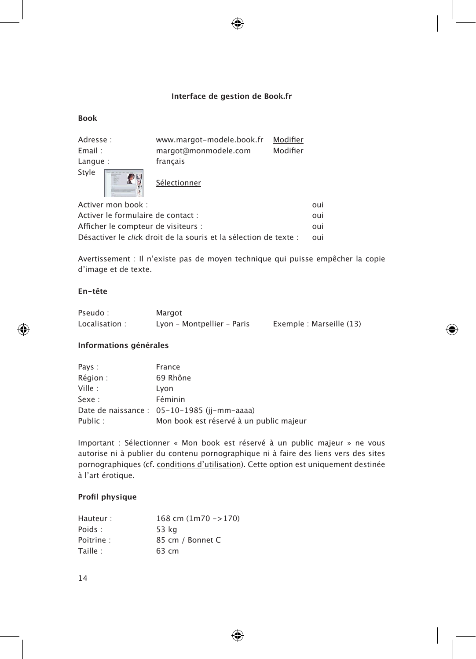## **Interface de gestion de Book.fr**

#### **Book**

| Adresse:<br>Email:<br>Langue: | www.margot-modele.book.fr<br>margot@monmodele.com<br>français | Modifier<br>Modifier |
|-------------------------------|---------------------------------------------------------------|----------------------|
| Style                         | Sélectionner                                                  |                      |

Activer mon book : oui

| Activer le formulaire de contact :                                        | oui |
|---------------------------------------------------------------------------|-----|
| Afficher le compteur de visiteurs :                                       | oui |
| Désactiver le <i>clic</i> k droit de la souris et la sélection de texte : | nui |

Avertissement : Il n'existe pas de moyen technique qui puisse empêcher la copie d'image et de texte.

## **En-tête**

| Pseudo:       | Margot                     |                         |
|---------------|----------------------------|-------------------------|
| Localisation: | Lyon - Montpellier - Paris | Exemple: Marseille (13) |

#### **Informations générales**

| Pays:   | France                                      |
|---------|---------------------------------------------|
| Région: | 69 Rhône                                    |
| Ville:  | Lvon                                        |
| Sexe:   | Féminin                                     |
|         | Date de naissance : 05-10-1985 (jj-mm-aaaa) |
| Public: | Mon book est réservé à un public majeur     |

Important : Sélectionner « Mon book est réservé à un public majeur » ne vous autorise ni à publier du contenu pornographique ni à faire des liens vers des sites pornographiques (cf. conditions d'utilisation). Cette option est uniquement destinée à l'art érotique.

### **Profil physique**

| 168 cm $(1m70 - > 170)$ |
|-------------------------|
| 53 kg                   |
| 85 cm / Bonnet C        |
| 63 cm                   |
|                         |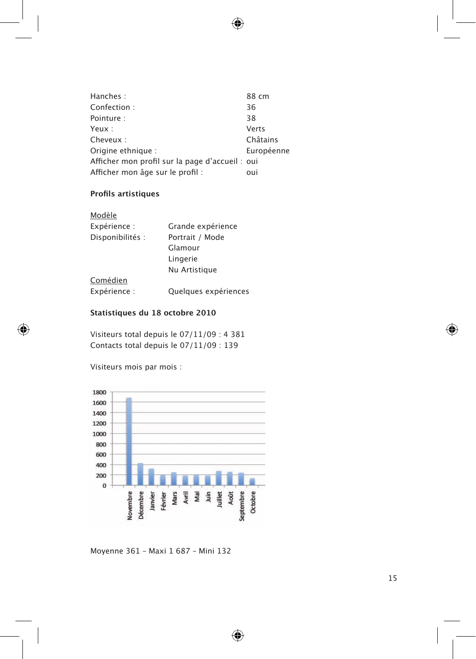| Hanches:                                        | 88 cm      |
|-------------------------------------------------|------------|
| Confection:                                     | 36         |
| Pointure:                                       | 38         |
| Yeux:                                           | Verts      |
| Cheveux:                                        | Châtains   |
| Origine ethnique :                              | Européenne |
| Afficher mon profil sur la page d'accueil : oui |            |
| Afficher mon âge sur le profil :                | oui        |

# **Profils artistiques**

| Modèle           |                      |
|------------------|----------------------|
| Expérience :     | Grande expérience    |
| Disponibilités : | Portrait / Mode      |
|                  | Glamour              |
|                  | Lingerie             |
|                  | Nu Artistique        |
| Comédien         |                      |
| Expérience :     | Quelques expériences |

## **Statistiques du 18 octobre 2010**

Visiteurs total depuis le 07/11/09 : 4 381 Contacts total depuis le 07/11/09 : 139

Visiteurs mois par mois :



Moyenne 361 – Maxi 1 687 – Mini 132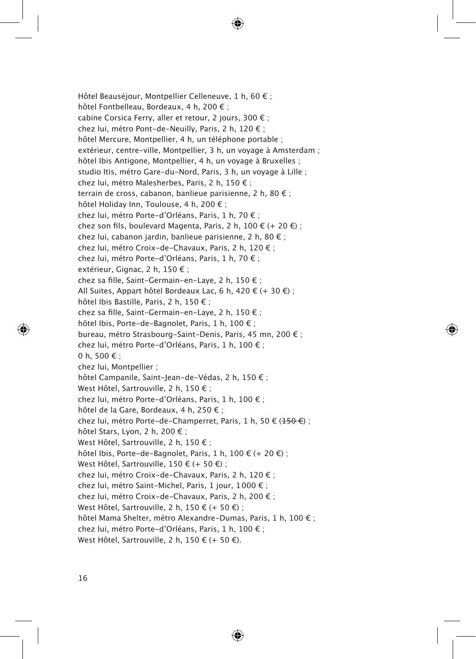Hôtel Beauséjour, Montpellier Celleneuve, 1 h, 60 € ; hôtel Fontbelleau, Bordeaux, 4 h, 200 € ; cabine Corsica Ferry, aller et retour, 2 jours, 300 € ; chez lui, métro Pont-de-Neuilly, Paris, 2 h, 120 € ; hôtel Mercure, Montpellier, 4 h, un téléphone portable ; extérieur, centre-ville, Montpellier, 3 h, un voyage à Amsterdam ; hôtel Ibis Antigone, Montpellier, 4 h, un voyage à Bruxelles ; studio Itis, métro Gare-du-Nord, Paris, 3 h, un voyage à Lille ; chez lui, métro Malesherbes, Paris, 2 h, 150 € ; terrain de cross, cabanon, banlieue parisienne, 2 h, 80 € ; hôtel Holiday Inn, Toulouse, 4 h, 200 € ; chez lui, métro Porte-d'Orléans, Paris, 1 h, 70 € ; chez son fils, boulevard Magenta, Paris, 2 h,  $100 \notin (+20 \notin )$ ; chez lui, cabanon jardin, banlieue parisienne, 2 h, 80 € ; chez lui, métro Croix-de-Chavaux, Paris, 2 h, 120 € ; chez lui, métro Porte-d'Orléans, Paris, 1 h, 70 € ; extérieur, Gignac, 2 h, 150 € ; chez sa fille, Saint-Germain-en-Laye, 2 h, 150 € ; All Suites, Appart hôtel Bordeaux Lac, 6 h, 420  $\in$  (+ 30  $\in$ ); hôtel Ibis Bastille, Paris, 2 h, 150 € ; chez sa fille, Saint-Germain-en-Laye, 2 h, 150 € ; hôtel Ibis, Porte-de-Bagnolet, Paris, 1 h, 100 € ; bureau, métro Strasbourg-Saint-Denis, Paris, 45 mn, 200 € ; chez lui, métro Porte-d'Orléans, Paris, 1 h, 100 € ; 0 h, 500  $\epsilon$  ; chez lui, Montpellier ; hôtel Campanile, Saint-Jean-de-Védas, 2 h, 150 € ; West Hôtel, Sartrouville, 2 h, 150 € ; chez lui, métro Porte-d'Orléans, Paris, 1 h, 100 € ; hôtel de la Gare, Bordeaux, 4 h, 250 € ; chez lui, métro Porte-de-Champerret, Paris, 1 h, 50  $\in$  (150  $\in$ ); hôtel Stars, Lyon, 2 h, 200 € ; West Hôtel, Sartrouville, 2 h, 150 € ; hôtel Ibis, Porte-de-Bagnolet, Paris, 1 h, 100  $\epsilon$  (+ 20  $\epsilon$ ); West Hôtel, Sartrouville, 150 € (+ 50 €) ; chez lui, métro Croix-de-Chavaux, Paris, 2 h, 120 € ; chez lui, métro Saint-Michel, Paris, 1 jour, 1000 € ; chez lui, métro Croix-de-Chavaux, Paris, 2 h, 200 € ; West Hôtel, Sartrouville, 2 h, 150 € (+ 50 €) ; hôtel Mama Shelter, métro Alexandre-Dumas, Paris, 1 h, 100 € ; chez lui, métro Porte-d'Orléans, Paris, 1 h, 100 € ; West Hôtel, Sartrouville, 2 h, 150 € (+ 50 €).